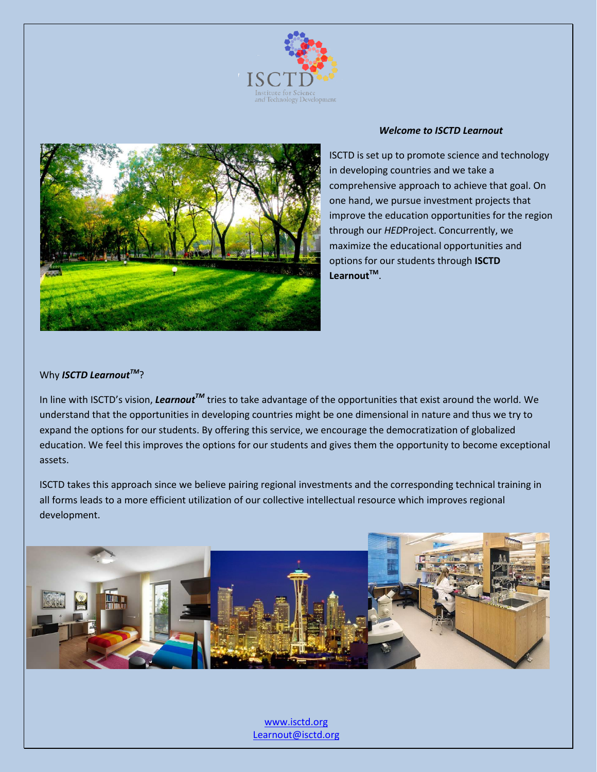

#### *Welcome to ISCTD Learnout*



ISCTD is set up to promote science and technology in developing countries and we take a comprehensive approach to achieve that goal. On one hand, we pursue investment projects that improve the education opportunities for the region through our *HED*Project. Concurrently, we maximize the educational opportunities and options for our students through **ISCTD LearnoutTM** .

# Why *ISCTD LearnoutTM*?

In line with ISCTD's vision, *Learnout™* tries to take advantage of the opportunities that exist around the world. We understand that the opportunities in developing countries might be one dimensional in nature and thus we try to expand the options for our students. By offering this service, we encourage the democratization of globalized education. We feel this improves the options for our students and gives them the opportunity to become exceptional assets.

ISCTD takes this approach since we believe pairing regional investments and the corresponding technical training in all forms leads to a more efficient utilization of our collective intellectual resource which improves regional development.

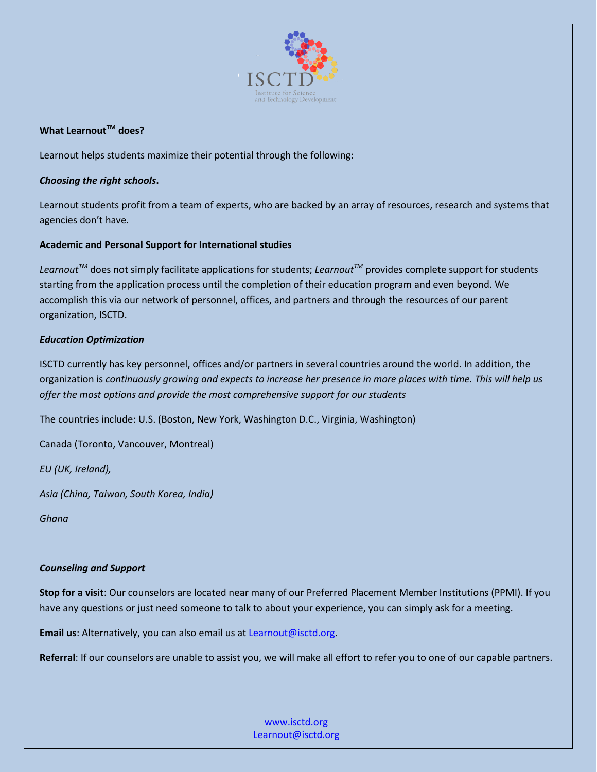

# **What LearnoutTM does?**

Learnout helps students maximize their potential through the following:

### *Choosing the right schools***.**

Learnout students profit from a team of experts, who are backed by an array of resources, research and systems that agencies don't have.

#### **Academic and Personal Support for International studies**

*LearnoutTM* does not simply facilitate applications for students; *LearnoutTM* provides complete support for students starting from the application process until the completion of their education program and even beyond. We accomplish this via our network of personnel, offices, and partners and through the resources of our parent organization, ISCTD.

#### *Education Optimization*

ISCTD currently has key personnel, offices and/or partners in several countries around the world. In addition, the organization is *continuously growing and expects to increase her presence in more places with time. This will help us offer the most options and provide the most comprehensive support for our students*

The countries include: U.S. (Boston, New York, Washington D.C., Virginia, Washington)

Canada (Toronto, Vancouver, Montreal)

*EU (UK, Ireland),* 

*Asia (China, Taiwan, South Korea, India)*

*Ghana*

#### *Counseling and Support*

**Stop for a visit**: Our counselors are located near many of our Preferred Placement Member Institutions (PPMI). If you have any questions or just need someone to talk to about your experience, you can simply ask for a meeting.

**Email us**: Alternatively, you can also email us at Learnout@isctd.org.

**Referral**: If our counselors are unable to assist you, we will make all effort to refer you to one of our capable partners.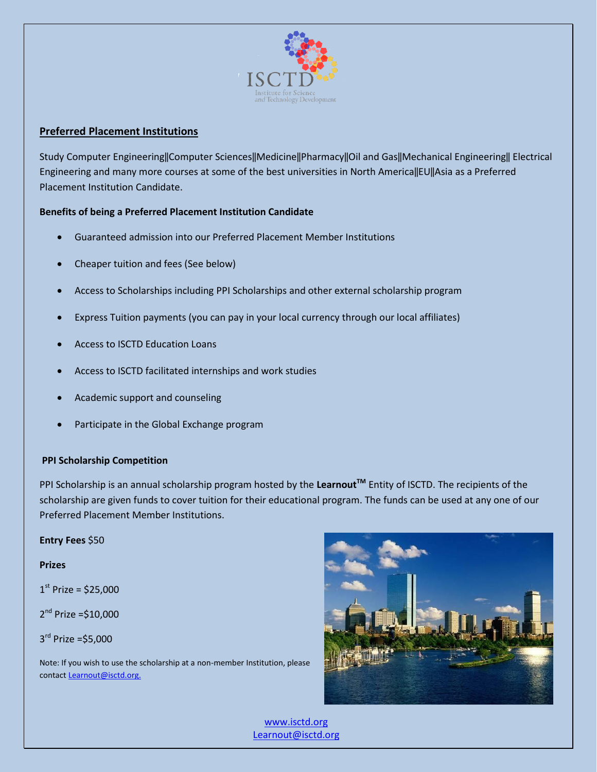

# **Preferred Placement Institutions**

Study Computer Engineering‖Computer Sciences‖Medicine‖Pharmacy‖Oil and Gas‖Mechanical Engineering‖ Electrical Engineering and many more courses at some of the best universities in North America‖EU‖Asia as a Preferred Placement Institution Candidate.

# **Benefits of being a Preferred Placement Institution Candidate**

- Guaranteed admission into our Preferred Placement Member Institutions
- Cheaper tuition and fees (See below)
- Access to Scholarships including PPI Scholarships and other external scholarship program
- Express Tuition payments (you can pay in your local currency through our local affiliates)
- Access to ISCTD Education Loans
- Access to ISCTD facilitated internships and work studies
- Academic support and counseling
- Participate in the Global Exchange program

#### **PPI Scholarship Competition**

PPI Scholarship is an annual scholarship program hosted by the **LearnoutTM** Entity of ISCTD. The recipients of the scholarship are given funds to cover tuition for their educational program. The funds can be used at any one of our Preferred Placement Member Institutions.

#### **Entry Fees** \$50

#### **Prizes**

 $1<sup>st</sup>$  Prize = \$25,000

2<sup>nd</sup> Prize =\$10,000

3 rd Prize =\$5,000

Note: If you wish to use the scholarship at a non-member Institution, please contact Learnout@isctd.org.

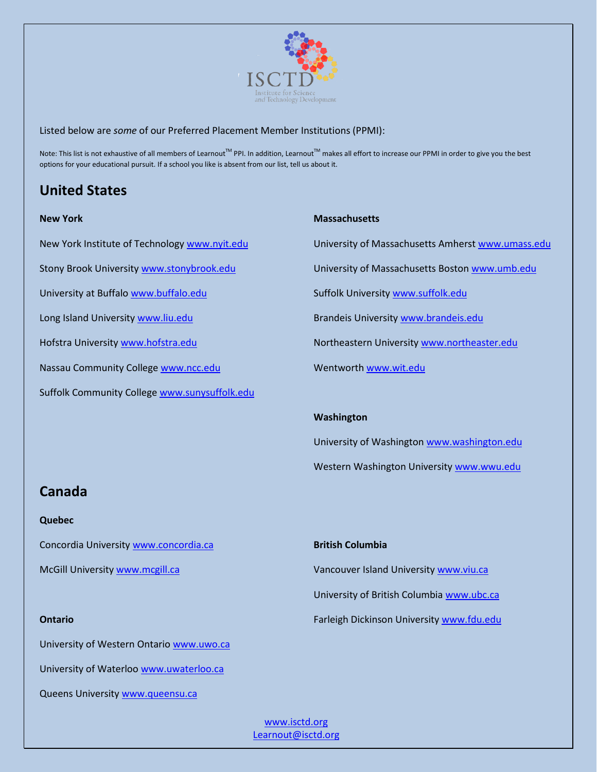

Listed below are *some* of our Preferred Placement Member Institutions (PPMI):

Note: This list is not exhaustive of all members of Learnout<sup>™</sup> PPI. In addition, Learnout<sup>™</sup> makes all effort to increase our PPMI in order to give you the best options for your educational pursuit. If a school you like is absent from our list, tell us about it.

# **United States**

| <b>New York</b>                               | <b>Massachusetts</b>                              |  |
|-----------------------------------------------|---------------------------------------------------|--|
| New York Institute of Technology www.nyit.edu | University of Massachusetts Amherst www.umass.edu |  |
| Stony Brook University www.stonybrook.edu     | University of Massachusetts Boston www.umb.edu    |  |
| University at Buffalo www.buffalo.edu         | Suffolk University www.suffolk.edu                |  |
| Long Island University www.liu.edu            | Brandeis University www.brandeis.edu              |  |
| Hofstra University www.hofstra.edu            | Northeastern University www.northeaster.edu       |  |
| Nassau Community College www.ncc.edu          | Wentworth www.wit.edu                             |  |
| Suffolk Community College www.sunysuffolk.edu |                                                   |  |
|                                               | Washington                                        |  |

#### **Washington**

University of Washington www.washington.edu Western Washington University www.wwu.edu

# **Canada**

# **Quebec**

Concordia University www.concordia.ca

McGill University www.mcgill.ca

# **Ontario**

University of Western Ontario www.uwo.ca

University of Waterloo www.uwaterloo.ca

Queens University www.queensu.ca

**British Columbia** Vancouver Island University www.viu.ca University of British Columbia www.ubc.ca Farleigh Dickinson University www.fdu.edu